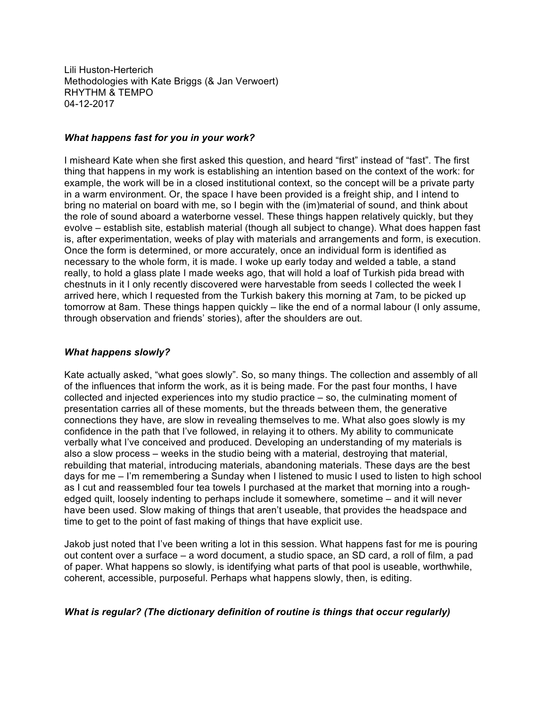Lili Huston-Herterich Methodologies with Kate Briggs (& Jan Verwoert) RHYTHM & TEMPO 04-12-2017

### *What happens fast for you in your work?*

I misheard Kate when she first asked this question, and heard "first" instead of "fast". The first thing that happens in my work is establishing an intention based on the context of the work: for example, the work will be in a closed institutional context, so the concept will be a private party in a warm environment. Or, the space I have been provided is a freight ship, and I intend to bring no material on board with me, so I begin with the (im)material of sound, and think about the role of sound aboard a waterborne vessel. These things happen relatively quickly, but they evolve – establish site, establish material (though all subject to change). What does happen fast is, after experimentation, weeks of play with materials and arrangements and form, is execution. Once the form is determined, or more accurately, once an individual form is identified as necessary to the whole form, it is made. I woke up early today and welded a table, a stand really, to hold a glass plate I made weeks ago, that will hold a loaf of Turkish pida bread with chestnuts in it I only recently discovered were harvestable from seeds I collected the week I arrived here, which I requested from the Turkish bakery this morning at 7am, to be picked up tomorrow at 8am. These things happen quickly – like the end of a normal labour (I only assume, through observation and friends' stories), after the shoulders are out.

## *What happens slowly?*

Kate actually asked, "what goes slowly". So, so many things. The collection and assembly of all of the influences that inform the work, as it is being made. For the past four months, I have collected and injected experiences into my studio practice – so, the culminating moment of presentation carries all of these moments, but the threads between them, the generative connections they have, are slow in revealing themselves to me. What also goes slowly is my confidence in the path that I've followed, in relaying it to others. My ability to communicate verbally what I've conceived and produced. Developing an understanding of my materials is also a slow process – weeks in the studio being with a material, destroying that material, rebuilding that material, introducing materials, abandoning materials. These days are the best days for me – I'm remembering a Sunday when I listened to music I used to listen to high school as I cut and reassembled four tea towels I purchased at the market that morning into a roughedged quilt, loosely indenting to perhaps include it somewhere, sometime – and it will never have been used. Slow making of things that aren't useable, that provides the headspace and time to get to the point of fast making of things that have explicit use.

Jakob just noted that I've been writing a lot in this session. What happens fast for me is pouring out content over a surface – a word document, a studio space, an SD card, a roll of film, a pad of paper. What happens so slowly, is identifying what parts of that pool is useable, worthwhile, coherent, accessible, purposeful. Perhaps what happens slowly, then, is editing.

# *What is regular? (The dictionary definition of routine is things that occur regularly)*